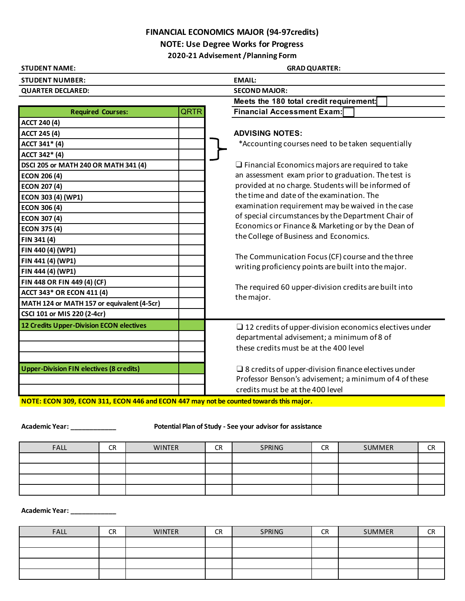## **FINANCIAL ECONOMICS MAJOR (94-97credits)**

**NOTE: Use Degree Works for Progress**

**2020-21 Advisement /Planning Form**

| <b>STUDENT NAME:</b>                            | <b>GRAD QUARTER:</b>                                                                                      |  |  |  |  |
|-------------------------------------------------|-----------------------------------------------------------------------------------------------------------|--|--|--|--|
| <b>STUDENT NUMBER:</b>                          | <b>EMAIL:</b>                                                                                             |  |  |  |  |
| <b>QUARTER DECLARED:</b>                        | <b>SECOND MAJOR:</b>                                                                                      |  |  |  |  |
|                                                 | Meets the 180 total credit requirement:                                                                   |  |  |  |  |
| QRTR<br><b>Required Courses:</b>                | <b>Financial Accessment Exam:</b>                                                                         |  |  |  |  |
| <b>ACCT 240 (4)</b>                             |                                                                                                           |  |  |  |  |
| <b>ACCT 245 (4)</b>                             | <b>ADVISING NOTES:</b>                                                                                    |  |  |  |  |
| ACCT 341* (4)                                   | *Accounting courses need to be taken sequentially                                                         |  |  |  |  |
| ACCT 342* (4)                                   |                                                                                                           |  |  |  |  |
| DSCI 205 or MATH 240 OR MATH 341 (4)            | $\Box$ Financial Economics majors are required to take                                                    |  |  |  |  |
| <b>ECON 206 (4)</b>                             | an assessment exam prior to graduation. The test is                                                       |  |  |  |  |
| <b>ECON 207 (4)</b>                             | provided at no charge. Students will be informed of                                                       |  |  |  |  |
| ECON 303 (4) (WP1)                              | the time and date of the examination. The                                                                 |  |  |  |  |
| <b>ECON 306 (4)</b>                             | examination requirement may be waived in the case                                                         |  |  |  |  |
| <b>ECON 307 (4)</b>                             | of special circumstances by the Department Chair of                                                       |  |  |  |  |
| <b>ECON 375 (4)</b>                             | Economics or Finance & Marketing or by the Dean of                                                        |  |  |  |  |
| FIN 341 (4)                                     | the College of Business and Economics.                                                                    |  |  |  |  |
| FIN 440 (4) (WP1)                               |                                                                                                           |  |  |  |  |
| FIN 441 (4) (WP1)                               | The Communication Focus (CF) course and the three<br>writing proficiency points are built into the major. |  |  |  |  |
| FIN 444 (4) (WP1)                               |                                                                                                           |  |  |  |  |
| FIN 448 OR FIN 449 (4) (CF)                     | The required 60 upper-division credits are built into                                                     |  |  |  |  |
| <b>ACCT 343* OR ECON 411 (4)</b>                | the major.                                                                                                |  |  |  |  |
| MATH 124 or MATH 157 or equivalent (4-5cr)      |                                                                                                           |  |  |  |  |
| CSCI 101 or MIS 220 (2-4cr)                     |                                                                                                           |  |  |  |  |
| 12 Credits Upper-Division ECON electives        | $\Box$ 12 credits of upper-division economics electives under                                             |  |  |  |  |
|                                                 | departmental advisement; a minimum of 8 of                                                                |  |  |  |  |
|                                                 | these credits must be at the 400 level                                                                    |  |  |  |  |
|                                                 |                                                                                                           |  |  |  |  |
| <b>Upper-Division FIN electives (8 credits)</b> | $\square$ 8 credits of upper-division finance electives under                                             |  |  |  |  |
|                                                 | Professor Benson's advisement; a minimum of 4 of these                                                    |  |  |  |  |
|                                                 | credits must be at the 400 level                                                                          |  |  |  |  |

**NOTE: ECON 309, ECON 311, ECON 446 and ECON 447 may not be counted towards this major.** 

**Academic Year: \_\_\_\_\_\_\_\_\_\_\_\_ Potential Plan of Study - See your advisor for assistance**

| <b>FALL</b> | <b>CR</b> | <b>WINTER</b> | <b>CR</b> | SPRING | <b>CR</b> | SUMMER | CR<br>ີ |
|-------------|-----------|---------------|-----------|--------|-----------|--------|---------|
|             |           |               |           |        |           |        |         |
|             |           |               |           |        |           |        |         |
|             |           |               |           |        |           |        |         |
|             |           |               |           |        |           |        |         |

**Academic Year: \_\_\_\_\_\_\_\_\_\_\_\_**

| <b>FALL</b> | CR | <b>WINTER</b> | <b>CR</b> | SPRING | <b>CR</b> | <b>SUMMER</b> | <b>CD</b><br>- 1 |
|-------------|----|---------------|-----------|--------|-----------|---------------|------------------|
|             |    |               |           |        |           |               |                  |
|             |    |               |           |        |           |               |                  |
|             |    |               |           |        |           |               |                  |
|             |    |               |           |        |           |               |                  |